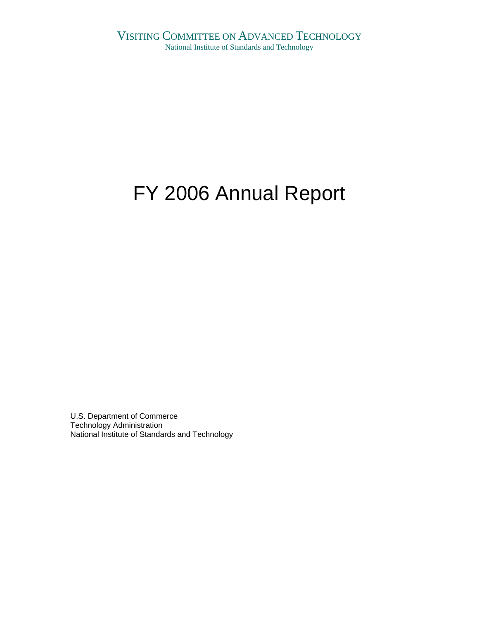# FY 2006 Annual Report

U.S. Department of Commerce Technology Administration National Institute of Standards and Technology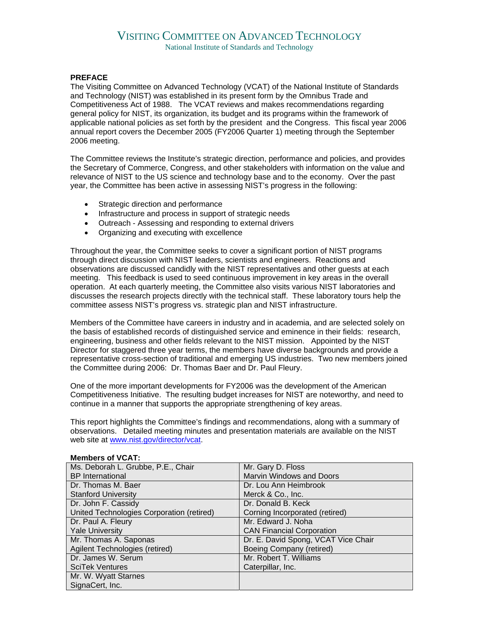# VISITING COMMITTEE ON ADVANCED TECHNOLOGY

National Institute of Standards and Technology

## **PREFACE**

The Visiting Committee on Advanced Technology (VCAT) of the National Institute of Standards and Technology (NIST) was established in its present form by the Omnibus Trade and Competitiveness Act of 1988. The VCAT reviews and makes recommendations regarding general policy for NIST, its organization, its budget and its programs within the framework of applicable national policies as set forth by the president and the Congress. This fiscal year 2006 annual report covers the December 2005 (FY2006 Quarter 1) meeting through the September 2006 meeting.

The Committee reviews the Institute's strategic direction, performance and policies, and provides the Secretary of Commerce, Congress, and other stakeholders with information on the value and relevance of NIST to the US science and technology base and to the economy. Over the past year, the Committee has been active in assessing NIST's progress in the following:

- Strategic direction and performance
- Infrastructure and process in support of strategic needs
- Outreach Assessing and responding to external drivers
- Organizing and executing with excellence

Throughout the year, the Committee seeks to cover a significant portion of NIST programs through direct discussion with NIST leaders, scientists and engineers. Reactions and observations are discussed candidly with the NIST representatives and other guests at each meeting. This feedback is used to seed continuous improvement in key areas in the overall operation. At each quarterly meeting, the Committee also visits various NIST laboratories and discusses the research projects directly with the technical staff. These laboratory tours help the committee assess NIST's progress vs. strategic plan and NIST infrastructure.

Members of the Committee have careers in industry and in academia, and are selected solely on the basis of established records of distinguished service and eminence in their fields: research, engineering, business and other fields relevant to the NIST mission. Appointed by the NIST Director for staggered three year terms, the members have diverse backgrounds and provide a representative cross-section of traditional and emerging US industries. Two new members joined the Committee during 2006: Dr. Thomas Baer and Dr. Paul Fleury.

One of the more important developments for FY2006 was the development of the American Competitiveness Initiative. The resulting budget increases for NIST are noteworthy, and need to continue in a manner that supports the appropriate strengthening of key areas.

This report highlights the Committee's findings and recommendations, along with a summary of observations. Detailed meeting minutes and presentation materials are available on the NIST web site at [www.nist.gov/director/vcat.](http://www.nist.gov/director/vcat)

| Ms. Deborah L. Grubbe, P.E., Chair        | Mr. Gary D. Floss                   |
|-------------------------------------------|-------------------------------------|
| <b>BP</b> International                   | Marvin Windows and Doors            |
| Dr. Thomas M. Baer                        | Dr. Lou Ann Heimbrook               |
| <b>Stanford University</b>                | Merck & Co., Inc.                   |
| Dr. John F. Cassidy                       | Dr. Donald B. Keck                  |
| United Technologies Corporation (retired) | Corning Incorporated (retired)      |
| Dr. Paul A. Fleury                        | Mr. Edward J. Noha                  |
| <b>Yale University</b>                    | <b>CAN Financial Corporation</b>    |
| Mr. Thomas A. Saponas                     | Dr. E. David Spong, VCAT Vice Chair |
| Agilent Technologies (retired)            | Boeing Company (retired)            |
| Dr. James W. Serum                        | Mr. Robert T. Williams              |
| <b>SciTek Ventures</b>                    | Caterpillar, Inc.                   |
| Mr. W. Wyatt Starnes                      |                                     |
| SignaCert, Inc.                           |                                     |

#### **Members of VCAT:**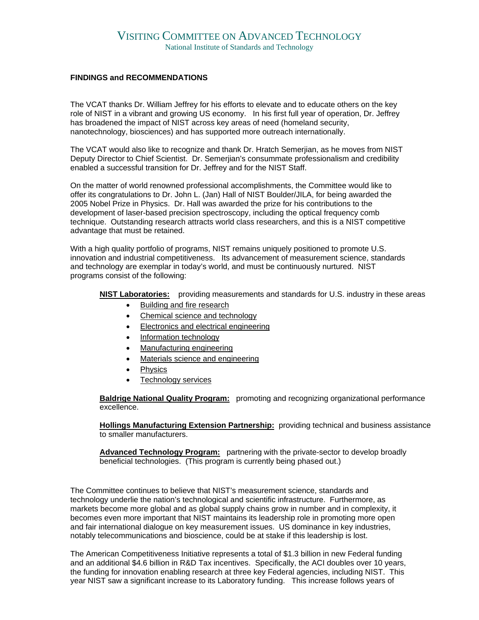## **FINDINGS and RECOMMENDATIONS**

The VCAT thanks Dr. William Jeffrey for his efforts to elevate and to educate others on the key role of NIST in a vibrant and growing US economy. In his first full year of operation, Dr. Jeffrey has broadened the impact of NIST across key areas of need (homeland security, nanotechnology, biosciences) and has supported more outreach internationally.

The VCAT would also like to recognize and thank Dr. Hratch Semerjian, as he moves from NIST Deputy Director to Chief Scientist. Dr. Semerjian's consummate professionalism and credibility enabled a successful transition for Dr. Jeffrey and for the NIST Staff.

On the matter of world renowned professional accomplishments, the Committee would like to offer its congratulations to Dr. John L. (Jan) Hall of NIST Boulder/JILA, for being awarded the 2005 Nobel Prize in Physics. Dr. Hall was awarded the prize for his contributions to the development of laser-based precision spectroscopy, including the optical frequency comb technique. Outstanding research attracts world class researchers, and this is a NIST competitive advantage that must be retained.

With a high quality portfolio of programs, NIST remains uniquely positioned to promote U.S. innovation and industrial competitiveness. Its advancement of measurement science, standards and technology are exemplar in today's world, and must be continuously nurtured. NIST programs consist of the following:

**[NIST Laboratories:](http://www.nist.gov/public_affairs/labs2.htm)** providing measurements and standards for U.S. industry in these areas

- [Building and fire research](http://www.bfrl.nist.gov/)
- [Chemical science and technology](http://www.cstl.nist.gov/)
- [Electronics and electrical engineering](http://www.eeel.nist.gov/)
- [Information technology](http://www.itl.nist.gov/)
- [Manufacturing engineering](http://www.mel.nist.gov/melhome.html)
- [Materials science and engineering](http://www.msel.nist.gov/)
- **[Physics](http://physics.nist.gov/)**
- [Technology services](http://ts.nist.gov/)

**[Baldrige National Quality Program:](http://baldrige.nist.gov/)** promoting and recognizing organizational performance excellence.

**[Hollings Manufacturing Extension Partnership:](http://www.mep.nist.gov/)** providing technical and business assistance to smaller manufacturers.

[Advanced Technology Program:](http://www.atp.nist.gov/) partnering with the private-sector to develop broadly beneficial technologies. (This program is currently being phased out.)

The Committee continues to believe that NIST's measurement science, standards and technology underlie the nation's technological and scientific infrastructure. Furthermore, as markets become more global and as global supply chains grow in number and in complexity, it becomes even more important that NIST maintains its leadership role in promoting more open and fair international dialogue on key measurement issues. US dominance in key industries, notably telecommunications and bioscience, could be at stake if this leadership is lost.

The American Competitiveness Initiative represents a total of \$1.3 billion in new Federal funding and an additional \$4.6 billion in R&D Tax incentives. Specifically, the ACI doubles over 10 years, the funding for innovation enabling research at three key Federal agencies, including NIST. This year NIST saw a significant increase to its Laboratory funding. This increase follows years of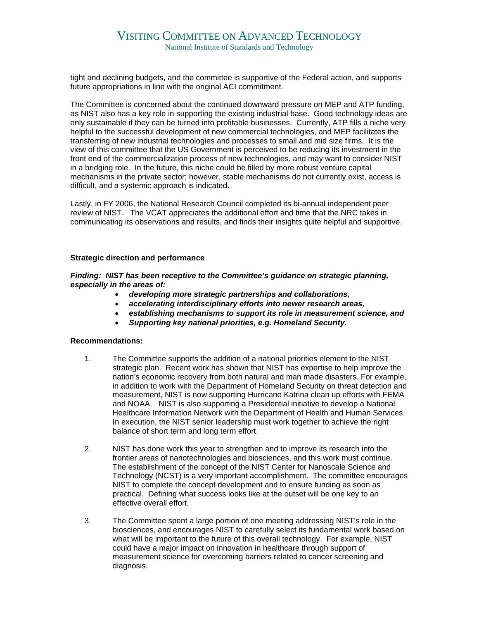# VISITING COMMITTEE ON ADVANCED TECHNOLOGY

National Institute of Standards and Technology

tight and declining budgets, and the committee is supportive of the Federal action, and supports future appropriations in line with the original ACI commitment.

The Committee is concerned about the continued downward pressure on MEP and ATP funding, as NIST also has a key role in supporting the existing industrial base. Good technology ideas are only sustainable if they can be turned into profitable businesses. Currently, ATP fills a niche very helpful to the successful development of new commercial technologies, and MEP facilitates the transferring of new industrial technologies and processes to small and mid size firms. It is the view of this committee that the US Government is perceived to be reducing its investment in the front end of the commercialization process of new technologies, and may want to consider NIST in a bridging role. In the future, this niche could be filled by more robust venture capital mechanisms in the private sector; however, stable mechanisms do not currently exist, access is difficult, and a systemic approach is indicated.

Lastly, in FY 2006, the National Research Council completed its bi-annual independent peer review of NIST. The VCAT appreciates the additional effort and time that the NRC takes in communicating its observations and results, and finds their insights quite helpful and supportive.

#### **Strategic direction and performance**

*Finding: NIST has been receptive to the Committee's guidance on strategic planning, especially in the areas of:* 

- *developing more strategic partnerships and collaborations,*
- *accelerating interdisciplinary efforts into newer research areas,*
- *establishing mechanisms to support its role in measurement science, and*
- *Supporting key national priorities, e.g. Homeland Security.*

- 1. The Committee supports the addition of a national priorities element to the NIST strategic plan. Recent work has shown that NIST has expertise to help improve the nation's economic recovery from both natural and man made disasters. For example, in addition to work with the Department of Homeland Security on threat detection and measurement, NIST is now supporting Hurricane Katrina clean up efforts with FEMA and NOAA. NIST is also supporting a Presidential initiative to develop a National Healthcare Information Network with the Department of Health and Human Services. In execution, the NIST senior leadership must work together to achieve the right balance of short term and long term effort.
- 2. NIST has done work this year to strengthen and to improve its research into the frontier areas of nanotechnologies and biosciences, and this work must continue. The establishment of the concept of the NIST Center for Nanoscale Science and Technology (NCST) is a very important accomplishment. The committee encourages NIST to complete the concept development and to ensure funding as soon as practical. Defining what success looks like at the outset will be one key to an effective overall effort.
- 3. The Committee spent a large portion of one meeting addressing NIST's role in the biosciences, and encourages NIST to carefully select its fundamental work based on what will be important to the future of this overall technology. For example, NIST could have a major impact on innovation in healthcare through support of measurement science for overcoming barriers related to cancer screening and diagnosis.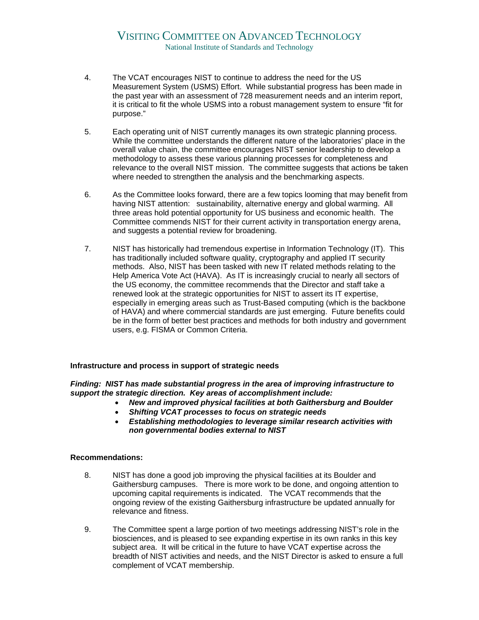- 4. The VCAT encourages NIST to continue to address the need for the US Measurement System (USMS) Effort. While substantial progress has been made in the past year with an assessment of 728 measurement needs and an interim report, it is critical to fit the whole USMS into a robust management system to ensure "fit for purpose."
- 5. Each operating unit of NIST currently manages its own strategic planning process. While the committee understands the different nature of the laboratories' place in the overall value chain, the committee encourages NIST senior leadership to develop a methodology to assess these various planning processes for completeness and relevance to the overall NIST mission. The committee suggests that actions be taken where needed to strengthen the analysis and the benchmarking aspects.
- 6. As the Committee looks forward, there are a few topics looming that may benefit from having NIST attention: sustainability, alternative energy and global warming. All three areas hold potential opportunity for US business and economic health. The Committee commends NIST for their current activity in transportation energy arena, and suggests a potential review for broadening.
- 7. NIST has historically had tremendous expertise in Information Technology (IT). This has traditionally included software quality, cryptography and applied IT security methods. Also, NIST has been tasked with new IT related methods relating to the Help America Vote Act (HAVA). As IT is increasingly crucial to nearly all sectors of the US economy, the committee recommends that the Director and staff take a renewed look at the strategic opportunities for NIST to assert its IT expertise, especially in emerging areas such as Trust-Based computing (which is the backbone of HAVA) and where commercial standards are just emerging. Future benefits could be in the form of better best practices and methods for both industry and government users, e.g. FISMA or Common Criteria.

# **Infrastructure and process in support of strategic needs**

*Finding: NIST has made substantial progress in the area of improving infrastructure to support the strategic direction. Key areas of accomplishment include:* 

- *New and improved physical facilities at both Gaithersburg and Boulder*
- *Shifting VCAT processes to focus on strategic needs*
- *Establishing methodologies to leverage similar research activities with non governmental bodies external to NIST*

- 8. NIST has done a good job improving the physical facilities at its Boulder and Gaithersburg campuses. There is more work to be done, and ongoing attention to upcoming capital requirements is indicated. The VCAT recommends that the ongoing review of the existing Gaithersburg infrastructure be updated annually for relevance and fitness.
- 9. The Committee spent a large portion of two meetings addressing NIST's role in the biosciences, and is pleased to see expanding expertise in its own ranks in this key subject area. It will be critical in the future to have VCAT expertise across the breadth of NIST activities and needs, and the NIST Director is asked to ensure a full complement of VCAT membership.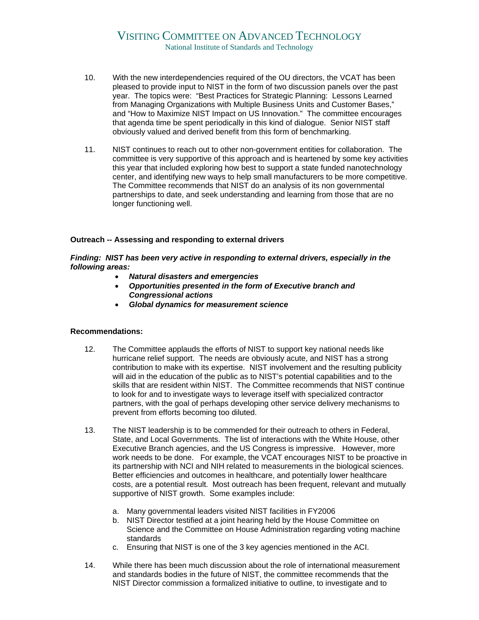# VISITING COMMITTEE ON ADVANCED TECHNOLOGY National Institute of Standards and Technology

- 10. With the new interdependencies required of the OU directors, the VCAT has been pleased to provide input to NIST in the form of two discussion panels over the past year. The topics were: "Best Practices for Strategic Planning: Lessons Learned from Managing Organizations with Multiple Business Units and Customer Bases," and "How to Maximize NIST Impact on US Innovation." The committee encourages that agenda time be spent periodically in this kind of dialogue. Senior NIST staff obviously valued and derived benefit from this form of benchmarking.
- 11. NIST continues to reach out to other non-government entities for collaboration. The committee is very supportive of this approach and is heartened by some key activities this year that included exploring how best to support a state funded nanotechnology center, and identifying new ways to help small manufacturers to be more competitive. The Committee recommends that NIST do an analysis of its non governmental partnerships to date, and seek understanding and learning from those that are no longer functioning well.

#### **Outreach -- Assessing and responding to external drivers**

*Finding: NIST has been very active in responding to external drivers, especially in the following areas:* 

- *Natural disasters and emergencies*
- *Opportunities presented in the form of Executive branch and Congressional actions*
- *Global dynamics for measurement science*

- 12. The Committee applauds the efforts of NIST to support key national needs like hurricane relief support. The needs are obviously acute, and NIST has a strong contribution to make with its expertise. NIST involvement and the resulting publicity will aid in the education of the public as to NIST's potential capabilities and to the skills that are resident within NIST. The Committee recommends that NIST continue to look for and to investigate ways to leverage itself with specialized contractor partners, with the goal of perhaps developing other service delivery mechanisms to prevent from efforts becoming too diluted.
- 13. The NIST leadership is to be commended for their outreach to others in Federal, State, and Local Governments. The list of interactions with the White House, other Executive Branch agencies, and the US Congress is impressive. However, more work needs to be done. For example, the VCAT encourages NIST to be proactive in its partnership with NCI and NIH related to measurements in the biological sciences. Better efficiencies and outcomes in healthcare, and potentially lower healthcare costs, are a potential result. Most outreach has been frequent, relevant and mutually supportive of NIST growth. Some examples include:
	- a. Many governmental leaders visited NIST facilities in FY2006
	- b. NIST Director testified at a joint hearing held by the House Committee on Science and the Committee on House Administration regarding voting machine standards
	- c. Ensuring that NIST is one of the 3 key agencies mentioned in the ACI.
- 14. While there has been much discussion about the role of international measurement and standards bodies in the future of NIST, the committee recommends that the NIST Director commission a formalized initiative to outline, to investigate and to